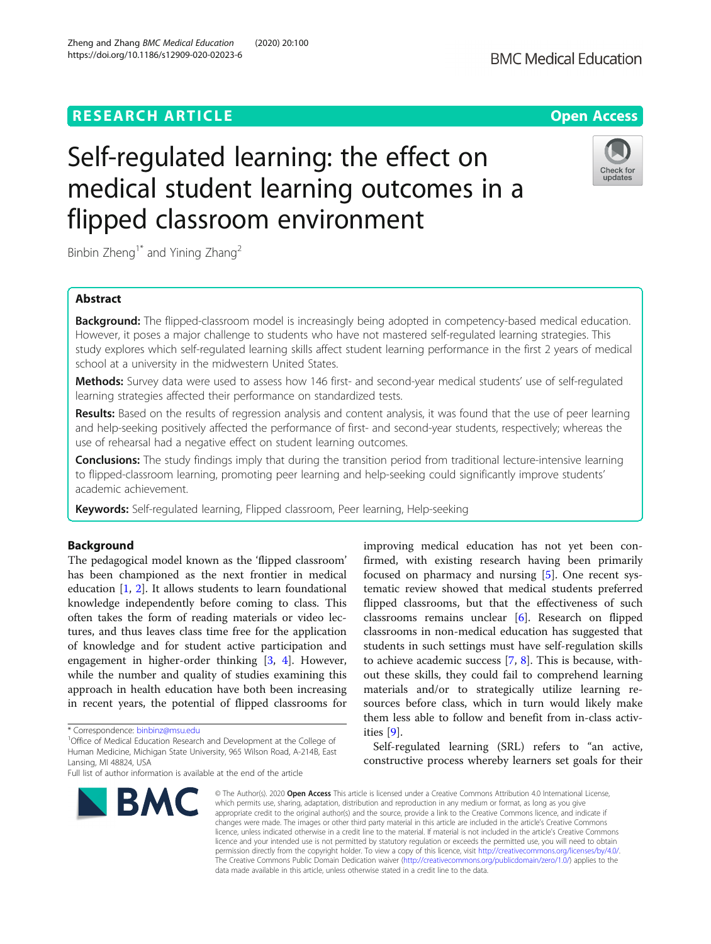# **RESEARCH ARTICLE Example 2014 CONSIDERING A RESEARCH ARTICLE**

# Self-regulated learning: the effect on medical student learning outcomes in a flipped classroom environment

Binbin Zheng<sup>1\*</sup> and Yining Zhang<sup>2</sup>

# Abstract

**Background:** The flipped-classroom model is increasingly being adopted in competency-based medical education. However, it poses a major challenge to students who have not mastered self-regulated learning strategies. This study explores which self-regulated learning skills affect student learning performance in the first 2 years of medical school at a university in the midwestern United States.

Methods: Survey data were used to assess how 146 first- and second-year medical students' use of self-regulated learning strategies affected their performance on standardized tests.

Results: Based on the results of regression analysis and content analysis, it was found that the use of peer learning and help-seeking positively affected the performance of first- and second-year students, respectively; whereas the use of rehearsal had a negative effect on student learning outcomes.

Conclusions: The study findings imply that during the transition period from traditional lecture-intensive learning to flipped-classroom learning, promoting peer learning and help-seeking could significantly improve students' academic achievement.

Keywords: Self-regulated learning, Flipped classroom, Peer learning, Help-seeking

# Background

The pedagogical model known as the 'flipped classroom' has been championed as the next frontier in medical education [\[1](#page-5-0), [2\]](#page-5-0). It allows students to learn foundational knowledge independently before coming to class. This often takes the form of reading materials or video lectures, and thus leaves class time free for the application of knowledge and for student active participation and engagement in higher-order thinking [[3,](#page-5-0) [4](#page-5-0)]. However, while the number and quality of studies examining this approach in health education have both been increasing in recent years, the potential of flipped classrooms for

<sup>1</sup>Office of Medical Education Research and Development at the College of Human Medicine, Michigan State University, 965 Wilson Road, A-214B, East Lansing, MI 48824, USA

# firmed, with existing research having been primarily focused on pharmacy and nursing [[5\]](#page-5-0). One recent systematic review showed that medical students preferred flipped classrooms, but that the effectiveness of such classrooms remains unclear [\[6](#page-5-0)]. Research on flipped classrooms in non-medical education has suggested that students in such settings must have self-regulation skills to achieve academic success [\[7](#page-5-0), [8](#page-5-0)]. This is because, without these skills, they could fail to comprehend learning

materials and/or to strategically utilize learning resources before class, which in turn would likely make them less able to follow and benefit from in-class activities [\[9](#page-5-0)].

improving medical education has not yet been con-

Self-regulated learning (SRL) refers to "an active, constructive process whereby learners set goals for their

© The Author(s), 2020 **Open Access** This article is licensed under a Creative Commons Attribution 4.0 International License, which permits use, sharing, adaptation, distribution and reproduction in any medium or format, as long as you give appropriate credit to the original author(s) and the source, provide a link to the Creative Commons licence, and indicate if changes were made. The images or other third party material in this article are included in the article's Creative Commons licence, unless indicated otherwise in a credit line to the material. If material is not included in the article's Creative Commons licence and your intended use is not permitted by statutory regulation or exceeds the permitted use, you will need to obtain permission directly from the copyright holder. To view a copy of this licence, visit [http://creativecommons.org/licenses/by/4.0/.](http://creativecommons.org/licenses/by/4.0/) The Creative Commons Public Domain Dedication waiver [\(http://creativecommons.org/publicdomain/zero/1.0/](http://creativecommons.org/publicdomain/zero/1.0/)) applies to the data made available in this article, unless otherwise stated in a credit line to the data.

Zheng and Zhang BMC Medical Education (2020) 20:100 https://doi.org/10.1186/s12909-020-02023-6







<sup>\*</sup> Correspondence: [binbinz@msu.edu](mailto:binbinz@msu.edu) <sup>1</sup>

Full list of author information is available at the end of the article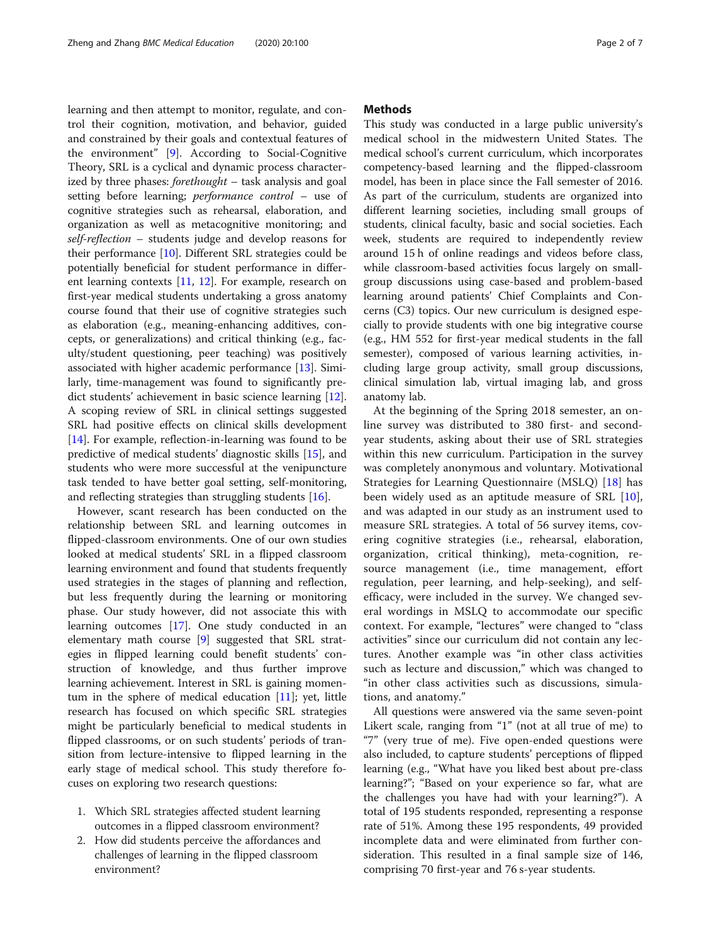learning and then attempt to monitor, regulate, and control their cognition, motivation, and behavior, guided and constrained by their goals and contextual features of the environment" [\[9](#page-5-0)]. According to Social-Cognitive Theory, SRL is a cyclical and dynamic process characterized by three phases: *forethought* – task analysis and goal setting before learning; performance control – use of cognitive strategies such as rehearsal, elaboration, and organization as well as metacognitive monitoring; and self-reflection – students judge and develop reasons for their performance [[10\]](#page-5-0). Different SRL strategies could be potentially beneficial for student performance in different learning contexts [[11,](#page-5-0) [12](#page-5-0)]. For example, research on first-year medical students undertaking a gross anatomy course found that their use of cognitive strategies such as elaboration (e.g., meaning-enhancing additives, concepts, or generalizations) and critical thinking (e.g., faculty/student questioning, peer teaching) was positively associated with higher academic performance [\[13](#page-5-0)]. Similarly, time-management was found to significantly predict students' achievement in basic science learning [\[12](#page-5-0)]. A scoping review of SRL in clinical settings suggested SRL had positive effects on clinical skills development [[14\]](#page-6-0). For example, reflection-in-learning was found to be predictive of medical students' diagnostic skills [\[15\]](#page-6-0), and students who were more successful at the venipuncture task tended to have better goal setting, self-monitoring, and reflecting strategies than struggling students [[16\]](#page-6-0).

However, scant research has been conducted on the relationship between SRL and learning outcomes in flipped-classroom environments. One of our own studies looked at medical students' SRL in a flipped classroom learning environment and found that students frequently used strategies in the stages of planning and reflection, but less frequently during the learning or monitoring phase. Our study however, did not associate this with learning outcomes [[17\]](#page-6-0). One study conducted in an elementary math course [\[9\]](#page-5-0) suggested that SRL strategies in flipped learning could benefit students' construction of knowledge, and thus further improve learning achievement. Interest in SRL is gaining momentum in the sphere of medical education  $[11]$  $[11]$ ; yet, little research has focused on which specific SRL strategies might be particularly beneficial to medical students in flipped classrooms, or on such students' periods of transition from lecture-intensive to flipped learning in the early stage of medical school. This study therefore focuses on exploring two research questions:

- 1. Which SRL strategies affected student learning outcomes in a flipped classroom environment?
- 2. How did students perceive the affordances and challenges of learning in the flipped classroom environment?

# **Methods**

This study was conducted in a large public university's medical school in the midwestern United States. The medical school's current curriculum, which incorporates competency-based learning and the flipped-classroom model, has been in place since the Fall semester of 2016. As part of the curriculum, students are organized into different learning societies, including small groups of students, clinical faculty, basic and social societies. Each week, students are required to independently review around 15 h of online readings and videos before class, while classroom-based activities focus largely on smallgroup discussions using case-based and problem-based learning around patients' Chief Complaints and Concerns (C3) topics. Our new curriculum is designed especially to provide students with one big integrative course (e.g., HM 552 for first-year medical students in the fall semester), composed of various learning activities, including large group activity, small group discussions, clinical simulation lab, virtual imaging lab, and gross anatomy lab.

At the beginning of the Spring 2018 semester, an online survey was distributed to 380 first- and secondyear students, asking about their use of SRL strategies within this new curriculum. Participation in the survey was completely anonymous and voluntary. Motivational Strategies for Learning Questionnaire (MSLQ) [[18](#page-6-0)] has been widely used as an aptitude measure of SRL [\[10](#page-5-0)], and was adapted in our study as an instrument used to measure SRL strategies. A total of 56 survey items, covering cognitive strategies (i.e., rehearsal, elaboration, organization, critical thinking), meta-cognition, resource management (i.e., time management, effort regulation, peer learning, and help-seeking), and selfefficacy, were included in the survey. We changed several wordings in MSLQ to accommodate our specific context. For example, "lectures" were changed to "class activities" since our curriculum did not contain any lectures. Another example was "in other class activities such as lecture and discussion," which was changed to "in other class activities such as discussions, simulations, and anatomy."

All questions were answered via the same seven-point Likert scale, ranging from "1" (not at all true of me) to "7" (very true of me). Five open-ended questions were also included, to capture students' perceptions of flipped learning (e.g., "What have you liked best about pre-class learning?"; "Based on your experience so far, what are the challenges you have had with your learning?"). A total of 195 students responded, representing a response rate of 51%. Among these 195 respondents, 49 provided incomplete data and were eliminated from further consideration. This resulted in a final sample size of 146, comprising 70 first-year and 76 s-year students.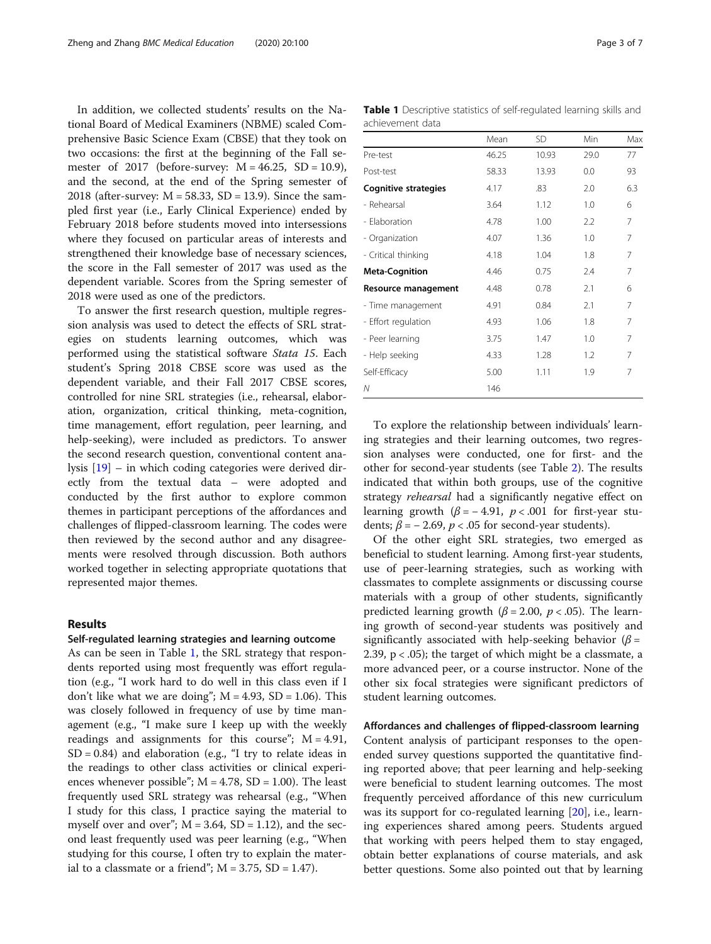In addition, we collected students' results on the National Board of Medical Examiners (NBME) scaled Comprehensive Basic Science Exam (CBSE) that they took on two occasions: the first at the beginning of the Fall semester of 2017 (before-survey:  $M = 46.25$ ,  $SD = 10.9$ ), and the second, at the end of the Spring semester of 2018 (after-survey: M = 58.33, SD = 13.9). Since the sampled first year (i.e., Early Clinical Experience) ended by February 2018 before students moved into intersessions where they focused on particular areas of interests and strengthened their knowledge base of necessary sciences, the score in the Fall semester of 2017 was used as the dependent variable. Scores from the Spring semester of 2018 were used as one of the predictors.

To answer the first research question, multiple regression analysis was used to detect the effects of SRL strategies on students learning outcomes, which was performed using the statistical software Stata 15. Each student's Spring 2018 CBSE score was used as the dependent variable, and their Fall 2017 CBSE scores, controlled for nine SRL strategies (i.e., rehearsal, elaboration, organization, critical thinking, meta-cognition, time management, effort regulation, peer learning, and help-seeking), were included as predictors. To answer the second research question, conventional content analysis [\[19](#page-6-0)] – in which coding categories were derived directly from the textual data – were adopted and conducted by the first author to explore common themes in participant perceptions of the affordances and challenges of flipped-classroom learning. The codes were then reviewed by the second author and any disagreements were resolved through discussion. Both authors worked together in selecting appropriate quotations that represented major themes.

# Results

#### Self-regulated learning strategies and learning outcome

As can be seen in Table 1, the SRL strategy that respondents reported using most frequently was effort regulation (e.g., "I work hard to do well in this class even if I don't like what we are doing";  $M = 4.93$ ,  $SD = 1.06$ ). This was closely followed in frequency of use by time management (e.g., "I make sure I keep up with the weekly readings and assignments for this course";  $M = 4.91$ ,  $SD = 0.84$ ) and elaboration (e.g., "I try to relate ideas in the readings to other class activities or clinical experiences whenever possible";  $M = 4.78$ ,  $SD = 1.00$ ). The least frequently used SRL strategy was rehearsal (e.g., "When I study for this class, I practice saying the material to myself over and over";  $M = 3.64$ ,  $SD = 1.12$ ), and the second least frequently used was peer learning (e.g., "When studying for this course, I often try to explain the material to a classmate or a friend";  $M = 3.75$ ,  $SD = 1.47$ ).

Table 1 Descriptive statistics of self-regulated learning skills and achievement data

|                             | Mean  | <b>SD</b> | Min  | Max |
|-----------------------------|-------|-----------|------|-----|
| Pre-test                    | 46.25 | 10.93     | 29.0 | 77  |
| Post-test                   | 58.33 | 13.93     | 0.0  | 93  |
| <b>Cognitive strategies</b> | 4.17  | .83       | 2.0  | 6.3 |
| - Rehearsal                 | 3.64  | 1.12      | 1.0  | 6   |
| - Elaboration               | 4.78  | 1.00      | 2.2  | 7   |
| - Organization              | 4.07  | 1.36      | 1.0  | 7   |
| - Critical thinking         | 4.18  | 1.04      | 1.8  | 7   |
| <b>Meta-Cognition</b>       | 4.46  | 0.75      | 2.4  | 7   |
| Resource management         | 4.48  | 0.78      | 2.1  | 6   |
| - Time management           | 4.91  | 0.84      | 2.1  | 7   |
| - Effort regulation         | 4.93  | 1.06      | 1.8  | 7   |
| - Peer learning             | 3.75  | 1.47      | 1.0  | 7   |
| - Help seeking              | 4.33  | 1.28      | 1.2  | 7   |
| Self-Efficacy               | 5.00  | 1.11      | 1.9  | 7   |
| Ν                           | 146   |           |      |     |

To explore the relationship between individuals' learning strategies and their learning outcomes, two regression analyses were conducted, one for first- and the other for second-year students (see Table [2\)](#page-3-0). The results indicated that within both groups, use of the cognitive strategy *rehearsal* had a significantly negative effect on learning growth ( $\beta$  = -4.91, p < .001 for first-year students;  $\beta$  = -2.69,  $p$  < .05 for second-year students).

Of the other eight SRL strategies, two emerged as beneficial to student learning. Among first-year students, use of peer-learning strategies, such as working with classmates to complete assignments or discussing course materials with a group of other students, significantly predicted learning growth ( $\beta$  = 2.00,  $p$  < .05). The learning growth of second-year students was positively and significantly associated with help-seeking behavior ( $\beta$  = 2.39,  $p < .05$ ); the target of which might be a classmate, a more advanced peer, or a course instructor. None of the other six focal strategies were significant predictors of student learning outcomes.

# Affordances and challenges of flipped-classroom learning

Content analysis of participant responses to the openended survey questions supported the quantitative finding reported above; that peer learning and help-seeking were beneficial to student learning outcomes. The most frequently perceived affordance of this new curriculum was its support for co-regulated learning [\[20](#page-6-0)], i.e., learning experiences shared among peers. Students argued that working with peers helped them to stay engaged, obtain better explanations of course materials, and ask better questions. Some also pointed out that by learning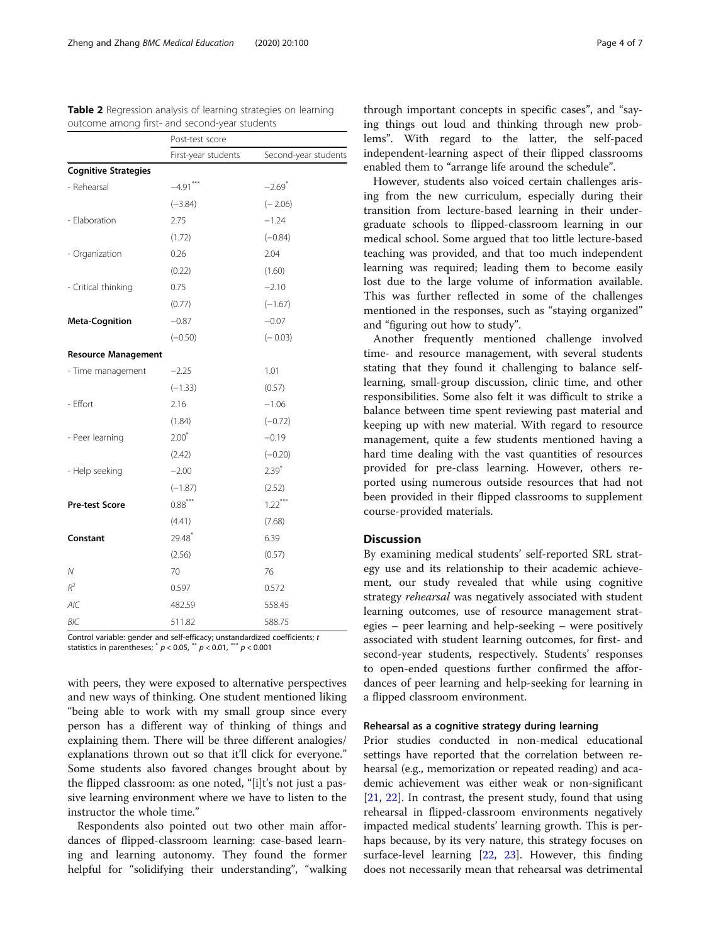|                             | Post-test score      |                      |  |  |
|-----------------------------|----------------------|----------------------|--|--|
|                             | First-year students  | Second-year students |  |  |
| <b>Cognitive Strategies</b> |                      |                      |  |  |
| - Rehearsal                 | $-4.91***$           | $-2.69$ <sup>*</sup> |  |  |
|                             | $(-3.84)$            | $(-2.06)$            |  |  |
| - Elaboration               | 2.75                 | $-1.24$              |  |  |
|                             | (1.72)               | $(-0.84)$            |  |  |
| - Organization              | 0.26                 | 2.04                 |  |  |
|                             | (0.22)               | (1.60)               |  |  |
| - Critical thinking         | 0.75                 | $-2.10$              |  |  |
|                             | (0.77)               | $(-1.67)$            |  |  |
| <b>Meta-Cognition</b>       | $-0.87$              | $-0.07$              |  |  |
|                             | $(-0.50)$            | $(-0.03)$            |  |  |
| <b>Resource Management</b>  |                      |                      |  |  |
| - Time management           | $-2.25$              | 1.01                 |  |  |
|                             | $(-1.33)$            | (0.57)               |  |  |
| - Effort                    | 2.16                 | $-1.06$              |  |  |
|                             | (1.84)               | $(-0.72)$            |  |  |
| - Peer learning             | $2.00*$              | $-0.19$              |  |  |
|                             | (2.42)               | $(-0.20)$            |  |  |
| - Help seeking              | $-2.00$              | $2.39*$              |  |  |
|                             | $(-1.87)$            | (2.52)               |  |  |
| <b>Pre-test Score</b>       | $0.88***$            | $1.22***$            |  |  |
|                             | (4.41)               | (7.68)               |  |  |
| Constant                    | $29.48$ <sup>*</sup> | 6.39                 |  |  |
|                             | (2.56)               | (0.57)               |  |  |
| Ν                           | 70                   | 76                   |  |  |
| $R^2$                       | 0.597                | 0.572                |  |  |
| <b>AIC</b>                  | 482.59               | 558.45               |  |  |
| BIC                         | 511.82               | 588.75               |  |  |

<span id="page-3-0"></span>

|  | Table 2 Regression analysis of learning strategies on learning |  |
|--|----------------------------------------------------------------|--|
|  | outcome among first- and second-year students                  |  |

Control variable: gender and self-efficacy; unstandardized coefficients; t statistics in parentheses;  $p < 0.05$ ,  $p < 0.01$ ,  $p < 0.001$ 

with peers, they were exposed to alternative perspectives and new ways of thinking. One student mentioned liking "being able to work with my small group since every person has a different way of thinking of things and explaining them. There will be three different analogies/ explanations thrown out so that it'll click for everyone." Some students also favored changes brought about by the flipped classroom: as one noted, "[i]t's not just a passive learning environment where we have to listen to the instructor the whole time."

Respondents also pointed out two other main affordances of flipped-classroom learning: case-based learning and learning autonomy. They found the former helpful for "solidifying their understanding", "walking

through important concepts in specific cases", and "saying things out loud and thinking through new problems". With regard to the latter, the self-paced independent-learning aspect of their flipped classrooms enabled them to "arrange life around the schedule".

However, students also voiced certain challenges arising from the new curriculum, especially during their transition from lecture-based learning in their undergraduate schools to flipped-classroom learning in our medical school. Some argued that too little lecture-based teaching was provided, and that too much independent learning was required; leading them to become easily lost due to the large volume of information available. This was further reflected in some of the challenges mentioned in the responses, such as "staying organized" and "figuring out how to study".

Another frequently mentioned challenge involved time- and resource management, with several students stating that they found it challenging to balance selflearning, small-group discussion, clinic time, and other responsibilities. Some also felt it was difficult to strike a balance between time spent reviewing past material and keeping up with new material. With regard to resource management, quite a few students mentioned having a hard time dealing with the vast quantities of resources provided for pre-class learning. However, others reported using numerous outside resources that had not been provided in their flipped classrooms to supplement course-provided materials.

# Discussion

By examining medical students' self-reported SRL strategy use and its relationship to their academic achievement, our study revealed that while using cognitive strategy rehearsal was negatively associated with student learning outcomes, use of resource management strategies – peer learning and help-seeking – were positively associated with student learning outcomes, for first- and second-year students, respectively. Students' responses to open-ended questions further confirmed the affordances of peer learning and help-seeking for learning in a flipped classroom environment.

### Rehearsal as a cognitive strategy during learning

Prior studies conducted in non-medical educational settings have reported that the correlation between rehearsal (e.g., memorization or repeated reading) and academic achievement was either weak or non-significant [[21,](#page-6-0) [22](#page-6-0)]. In contrast, the present study, found that using rehearsal in flipped-classroom environments negatively impacted medical students' learning growth. This is perhaps because, by its very nature, this strategy focuses on surface-level learning [\[22](#page-6-0), [23](#page-6-0)]. However, this finding does not necessarily mean that rehearsal was detrimental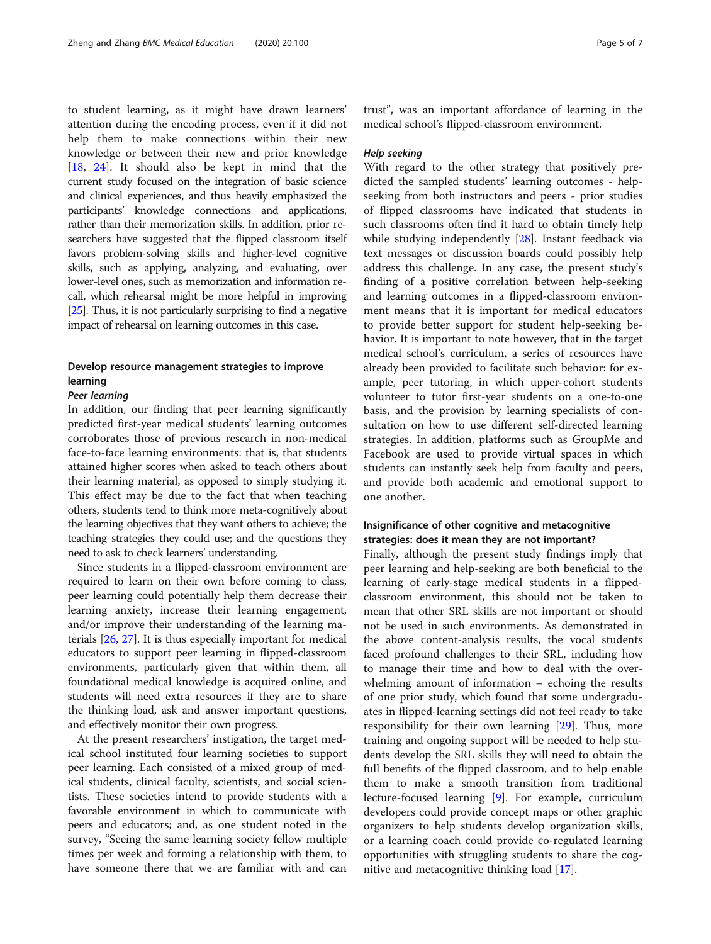to student learning, as it might have drawn learners' attention during the encoding process, even if it did not help them to make connections within their new knowledge or between their new and prior knowledge [[18,](#page-6-0) [24\]](#page-6-0). It should also be kept in mind that the current study focused on the integration of basic science and clinical experiences, and thus heavily emphasized the participants' knowledge connections and applications, rather than their memorization skills. In addition, prior researchers have suggested that the flipped classroom itself favors problem-solving skills and higher-level cognitive skills, such as applying, analyzing, and evaluating, over lower-level ones, such as memorization and information recall, which rehearsal might be more helpful in improving [[25](#page-6-0)]. Thus, it is not particularly surprising to find a negative impact of rehearsal on learning outcomes in this case.

# Develop resource management strategies to improve learning

In addition, our finding that peer learning significantly predicted first-year medical students' learning outcomes corroborates those of previous research in non-medical face-to-face learning environments: that is, that students attained higher scores when asked to teach others about their learning material, as opposed to simply studying it. This effect may be due to the fact that when teaching others, students tend to think more meta-cognitively about the learning objectives that they want others to achieve; the teaching strategies they could use; and the questions they need to ask to check learners' understanding.

Since students in a flipped-classroom environment are required to learn on their own before coming to class, peer learning could potentially help them decrease their learning anxiety, increase their learning engagement, and/or improve their understanding of the learning materials [\[26](#page-6-0), [27\]](#page-6-0). It is thus especially important for medical educators to support peer learning in flipped-classroom environments, particularly given that within them, all foundational medical knowledge is acquired online, and students will need extra resources if they are to share the thinking load, ask and answer important questions, and effectively monitor their own progress.

At the present researchers' instigation, the target medical school instituted four learning societies to support peer learning. Each consisted of a mixed group of medical students, clinical faculty, scientists, and social scientists. These societies intend to provide students with a favorable environment in which to communicate with peers and educators; and, as one student noted in the survey, "Seeing the same learning society fellow multiple times per week and forming a relationship with them, to have someone there that we are familiar with and can trust", was an important affordance of learning in the medical school's flipped-classroom environment.

With regard to the other strategy that positively predicted the sampled students' learning outcomes - helpseeking from both instructors and peers - prior studies of flipped classrooms have indicated that students in such classrooms often find it hard to obtain timely help while studying independently [[28\]](#page-6-0). Instant feedback via text messages or discussion boards could possibly help address this challenge. In any case, the present study's finding of a positive correlation between help-seeking and learning outcomes in a flipped-classroom environment means that it is important for medical educators to provide better support for student help-seeking behavior. It is important to note however, that in the target medical school's curriculum, a series of resources have already been provided to facilitate such behavior: for example, peer tutoring, in which upper-cohort students volunteer to tutor first-year students on a one-to-one basis, and the provision by learning specialists of consultation on how to use different self-directed learning strategies. In addition, platforms such as GroupMe and Facebook are used to provide virtual spaces in which students can instantly seek help from faculty and peers, and provide both academic and emotional support to one another.

# Insignificance of other cognitive and metacognitive strategies: does it mean they are not important?

Finally, although the present study findings imply that peer learning and help-seeking are both beneficial to the learning of early-stage medical students in a flippedclassroom environment, this should not be taken to mean that other SRL skills are not important or should not be used in such environments. As demonstrated in the above content-analysis results, the vocal students faced profound challenges to their SRL, including how to manage their time and how to deal with the overwhelming amount of information – echoing the results of one prior study, which found that some undergraduates in flipped-learning settings did not feel ready to take responsibility for their own learning [[29\]](#page-6-0). Thus, more training and ongoing support will be needed to help students develop the SRL skills they will need to obtain the full benefits of the flipped classroom, and to help enable them to make a smooth transition from traditional lecture-focused learning [\[9](#page-5-0)]. For example, curriculum developers could provide concept maps or other graphic organizers to help students develop organization skills, or a learning coach could provide co-regulated learning opportunities with struggling students to share the cognitive and metacognitive thinking load [[17](#page-6-0)].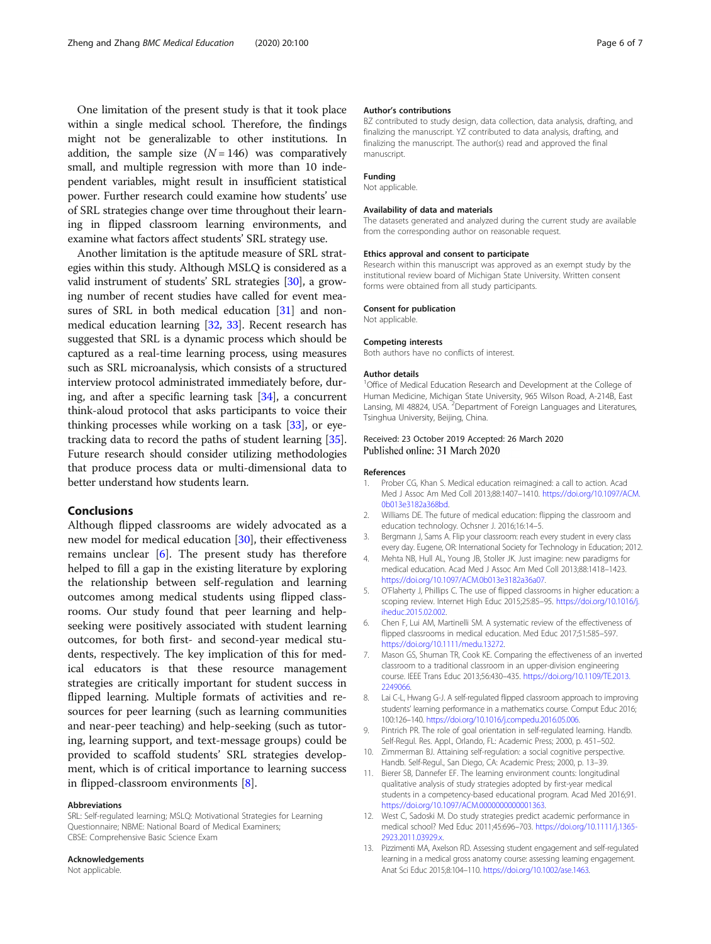<span id="page-5-0"></span>One limitation of the present study is that it took place within a single medical school. Therefore, the findings might not be generalizable to other institutions. In addition, the sample size  $(N = 146)$  was comparatively small, and multiple regression with more than 10 independent variables, might result in insufficient statistical power. Further research could examine how students' use of SRL strategies change over time throughout their learning in flipped classroom learning environments, and examine what factors affect students' SRL strategy use.

Another limitation is the aptitude measure of SRL strategies within this study. Although MSLQ is considered as a valid instrument of students' SRL strategies [[30](#page-6-0)], a growing number of recent studies have called for event mea-sures of SRL in both medical education [\[31\]](#page-6-0) and nonmedical education learning [\[32,](#page-6-0) [33\]](#page-6-0). Recent research has suggested that SRL is a dynamic process which should be captured as a real-time learning process, using measures such as SRL microanalysis, which consists of a structured interview protocol administrated immediately before, during, and after a specific learning task [[34](#page-6-0)], a concurrent think-aloud protocol that asks participants to voice their thinking processes while working on a task [[33](#page-6-0)], or eyetracking data to record the paths of student learning [[35](#page-6-0)]. Future research should consider utilizing methodologies that produce process data or multi-dimensional data to better understand how students learn.

# Conclusions

Although flipped classrooms are widely advocated as a new model for medical education [[30](#page-6-0)], their effectiveness remains unclear  $[6]$ . The present study has therefore helped to fill a gap in the existing literature by exploring the relationship between self-regulation and learning outcomes among medical students using flipped classrooms. Our study found that peer learning and helpseeking were positively associated with student learning outcomes, for both first- and second-year medical students, respectively. The key implication of this for medical educators is that these resource management strategies are critically important for student success in flipped learning. Multiple formats of activities and resources for peer learning (such as learning communities and near-peer teaching) and help-seeking (such as tutoring, learning support, and text-message groups) could be provided to scaffold students' SRL strategies development, which is of critical importance to learning success in flipped-classroom environments [8].

#### Abbreviations

SRL: Self-regulated learning; MSLQ: Motivational Strategies for Learning Questionnaire; NBME: National Board of Medical Examiners; CBSE: Comprehensive Basic Science Exam

#### Acknowledgements

Not applicable.

#### Author's contributions

BZ contributed to study design, data collection, data analysis, drafting, and finalizing the manuscript. YZ contributed to data analysis, drafting, and finalizing the manuscript. The author(s) read and approved the final manuscript.

#### Funding

Not applicable.

#### Availability of data and materials

The datasets generated and analyzed during the current study are available from the corresponding author on reasonable request.

#### Ethics approval and consent to participate

Research within this manuscript was approved as an exempt study by the institutional review board of Michigan State University. Written consent forms were obtained from all study participants.

#### Consent for publication

Not applicable.

## Competing interests

Both authors have no conflicts of interest.

#### Author details

<sup>1</sup>Office of Medical Education Research and Development at the College of Human Medicine, Michigan State University, 965 Wilson Road, A-214B, East Lansing, MI 48824, USA.<sup>2</sup> Department of Foreign Languages and Literatures, Tsinghua University, Beijing, China.

#### Received: 23 October 2019 Accepted: 26 March 2020 Published online: 31 March 2020

#### References

- 1. Prober CG, Khan S. Medical education reimagined: a call to action. Acad Med J Assoc Am Med Coll 2013;88:1407–1410. [https://doi.org/10.1097/ACM.](https://doi.org/10.1097/ACM.0b013e3182a368bd) [0b013e3182a368bd](https://doi.org/10.1097/ACM.0b013e3182a368bd).
- 2. Williams DE. The future of medical education: flipping the classroom and education technology. Ochsner J. 2016;16:14–5.
- 3. Bergmann J, Sams A. Flip your classroom: reach every student in every class every day. Eugene, OR: International Society for Technology in Education; 2012.
- 4. Mehta NB, Hull AL, Young JB, Stoller JK. Just imagine: new paradigms for medical education. Acad Med J Assoc Am Med Coll 2013;88:1418–1423. <https://doi.org/10.1097/ACM.0b013e3182a36a07>.
- 5. O'Flaherty J, Phillips C. The use of flipped classrooms in higher education: a scoping review. Internet High Educ 2015;25:85–95. [https://doi.org/10.1016/j.](https://doi.org/10.1016/j.iheduc.2015.02.002) [iheduc.2015.02.002](https://doi.org/10.1016/j.iheduc.2015.02.002).
- 6. Chen F, Lui AM, Martinelli SM. A systematic review of the effectiveness of flipped classrooms in medical education. Med Educ 2017:51:585-597. [https://doi.org/10.1111/medu.13272.](https://doi.org/10.1111/medu.13272)
- 7. Mason GS, Shuman TR, Cook KE. Comparing the effectiveness of an inverted classroom to a traditional classroom in an upper-division engineering course. IEEE Trans Educ 2013;56:430–435. [https://doi.org/10.1109/TE.2013.](https://doi.org/10.1109/TE.2013.2249066) [2249066.](https://doi.org/10.1109/TE.2013.2249066)
- Lai C-L, Hwang G-J. A self-regulated flipped classroom approach to improving students' learning performance in a mathematics course. Comput Educ 2016; 100:126–140. [https://doi.org/10.1016/j.compedu.2016.05.006.](https://doi.org/10.1016/j.compedu.2016.05.006)
- 9. Pintrich PR. The role of goal orientation in self-regulated learning. Handb. Self-Regul. Res. Appl., Orlando, FL: Academic Press; 2000, p. 451–502.
- 10. Zimmerman BJ. Attaining self-regulation: a social cognitive perspective. Handb. Self-Regul., San Diego, CA: Academic Press; 2000, p. 13–39.
- 11. Bierer SB, Dannefer EF. The learning environment counts: longitudinal qualitative analysis of study strategies adopted by first-year medical students in a competency-based educational program. Acad Med 2016;91. <https://doi.org/10.1097/ACM.0000000000001363>.
- 12. West C, Sadoski M. Do study strategies predict academic performance in medical school? Med Educ 2011;45:696–703. [https://doi.org/10.1111/j.1365-](https://doi.org/10.1111/j.1365-2923.2011.03929.x) [2923.2011.03929.x.](https://doi.org/10.1111/j.1365-2923.2011.03929.x)
- 13. Pizzimenti MA, Axelson RD. Assessing student engagement and self-regulated learning in a medical gross anatomy course: assessing learning engagement. Anat Sci Educ 2015;8:104–110. <https://doi.org/10.1002/ase.1463>.